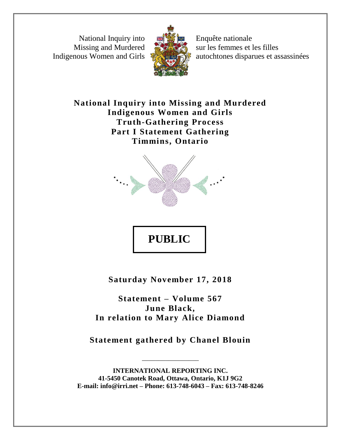National Inquiry into Missing and Murdered Indigenous Women and Girls



Enquête nationale sur les femmes et les filles autochtones disparues et assassinées

**National Inquiry into Missing and Murdered Indigenous Women and Girls Truth-Gathering Process Part I Statement Gathering Timmins, Ontario**



**PUBLIC** 

**Saturday November 17, 2018**

**Statement – Volume 567 June Black, In relation to Mary Alice Diamond**

**Statement gathered by Chanel Blouin**

\_\_\_\_\_\_\_\_\_\_\_\_\_\_\_\_\_

**INTERNATIONAL REPORTING INC. 41-5450 Canotek Road, Ottawa, Ontario, K1J 9G2 E-mail: info@irri.net – Phone: 613-748-6043 – Fax: 613-748-8246**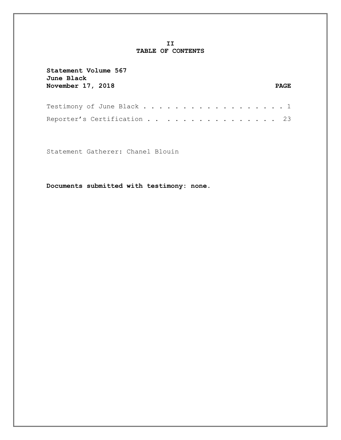### **II TABLE OF CONTENTS**

| Statement Volume 567<br>June Black<br>November 17, 2018 | PAGE. |
|---------------------------------------------------------|-------|
| Testimony of June Black 1                               |       |
| Reporter's Certification 23                             |       |

Statement Gatherer: Chanel Blouin

**Documents submitted with testimony: none.**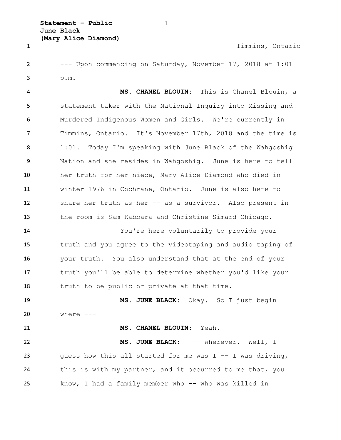1 Timmins, Ontario

 --- Upon commencing on Saturday, November 17, 2018 at 1:01 p.m.

 **MS. CHANEL BLOUIN:** This is Chanel Blouin, a statement taker with the National Inquiry into Missing and Murdered Indigenous Women and Girls. We're currently in Timmins, Ontario. It's November 17th, 2018 and the time is 1:01. Today I'm speaking with June Black of the Wahgoshig Nation and she resides in Wahgoshig. June is here to tell her truth for her niece, Mary Alice Diamond who died in winter 1976 in Cochrane, Ontario. June is also here to share her truth as her -- as a survivor. Also present in the room is Sam Kabbara and Christine Simard Chicago.

 You're here voluntarily to provide your truth and you agree to the videotaping and audio taping of your truth. You also understand that at the end of your truth you'll be able to determine whether you'd like your truth to be public or private at that time.

 **MS. JUNE BLACK:** Okay. So I just begin where ---

**MS. CHANEL BLOUIN:** Yeah.

 **MS. JUNE BLACK:** --- wherever. Well, I guess how this all started for me was I -- I was driving, 24 this is with my partner, and it occurred to me that, you 25 know, I had a family member who -- who was killed in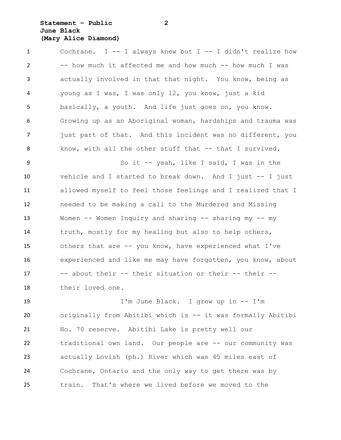# **Statement – Public 2 June Black (Mary Alice Diamond)**

 Cochrane. I -- I always knew but I -- I didn't realize how -- how much it affected me and how much -- how much I was actually involved in that that night. You know, being as young as I was, I was only 12, you know, just a kid basically, a youth. And life just goes on, you know. Growing up as an Aboriginal woman, hardships and trauma was 7 just part of that. And this incident was no different, you 8 know, with all the other stuff that -- that I survived.

 So it -- yeah, like I said, I was in the vehicle and I started to break down. And I just -- I just allowed myself to feel those feelings and I realized that I needed to be making a call to the Murdered and Missing 13 Women -- Women Inquiry and sharing -- sharing my -- my truth, mostly for my healing but also to help others, others that are -- you know, have experienced what I've experienced and like me may have forgotten, you know, about -- about their -- their situation or their -- their -- their loved one.

 I'm June Black. I grew up in -- I'm originally from Abitibi which is -- it was formally Abitibi No. 70 reserve. Abitibi Lake is pretty well our traditional own land. Our people are -- our community was actually Lovish (ph.) River which was 45 miles east of Cochrane, Ontario and the only way to get there was by train. That's where we lived before we moved to the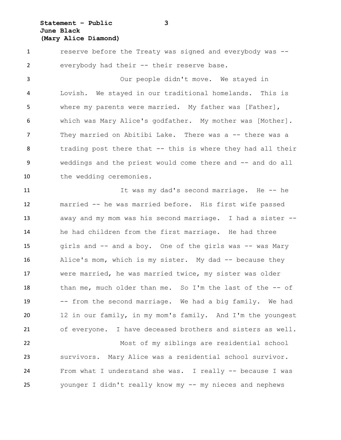**Statement – Public 3 June Black (Mary Alice Diamond)**

 reserve before the Treaty was signed and everybody was -- everybody had their -- their reserve base.

 Our people didn't move. We stayed in Lovish. We stayed in our traditional homelands. This is 5 where my parents were married. My father was [Father], which was Mary Alice's godfather. My mother was [Mother]. 7 They married on Abitibi Lake. There was a -- there was a trading post there that -- this is where they had all their weddings and the priest would come there and -- and do all 10 the wedding ceremonies.

11 11 It was my dad's second marriage. He -- he married -- he was married before. His first wife passed away and my mom was his second marriage. I had a sister -- he had children from the first marriage. He had three girls and -- and a boy. One of the girls was -- was Mary Alice's mom, which is my sister. My dad -- because they were married, he was married twice, my sister was older 18 than me, much older than me. So I'm the last of the -- of -- from the second marriage. We had a big family. We had 12 in our family, in my mom's family. And I'm the youngest of everyone. I have deceased brothers and sisters as well. Most of my siblings are residential school survivors. Mary Alice was a residential school survivor. 24 From what I understand she was. I really -- because I was

younger I didn't really know my -- my nieces and nephews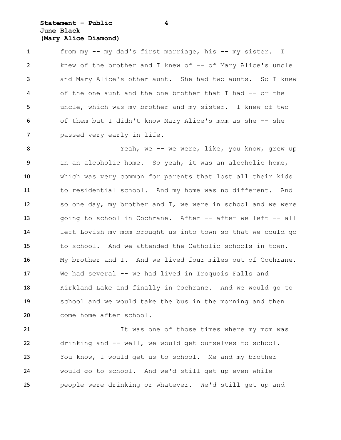## **Statement – Public 4 June Black (Mary Alice Diamond)**

 from my -- my dad's first marriage, his -- my sister. I knew of the brother and I knew of -- of Mary Alice's uncle and Mary Alice's other aunt. She had two aunts. So I knew 4 of the one aunt and the one brother that I had -- or the uncle, which was my brother and my sister. I knew of two of them but I didn't know Mary Alice's mom as she -- she passed very early in life.

8 Yeah, we -- we were, like, you know, grew up in an alcoholic home. So yeah, it was an alcoholic home, which was very common for parents that lost all their kids to residential school. And my home was no different. And so one day, my brother and I, we were in school and we were going to school in Cochrane. After -- after we left -- all left Lovish my mom brought us into town so that we could go to school. And we attended the Catholic schools in town. My brother and I. And we lived four miles out of Cochrane. We had several -- we had lived in Iroquois Falls and Kirkland Lake and finally in Cochrane. And we would go to school and we would take the bus in the morning and then come home after school.

 It was one of those times where my mom was drinking and -- well, we would get ourselves to school. You know, I would get us to school. Me and my brother would go to school. And we'd still get up even while people were drinking or whatever. We'd still get up and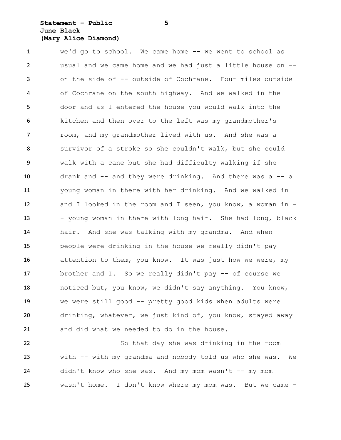## **Statement – Public 5 June Black (Mary Alice Diamond)**

 we'd go to school. We came home -- we went to school as usual and we came home and we had just a little house on -- on the side of -- outside of Cochrane. Four miles outside of Cochrane on the south highway. And we walked in the door and as I entered the house you would walk into the kitchen and then over to the left was my grandmother's 7 room, and my grandmother lived with us. And she was a survivor of a stroke so she couldn't walk, but she could walk with a cane but she had difficulty walking if she drank and -- and they were drinking. And there was a -- a young woman in there with her drinking. And we walked in and I looked in the room and I seen, you know, a woman in - 13 - young woman in there with long hair. She had long, black hair. And she was talking with my grandma. And when people were drinking in the house we really didn't pay attention to them, you know. It was just how we were, my brother and I. So we really didn't pay -- of course we noticed but, you know, we didn't say anything. You know, we were still good -- pretty good kids when adults were drinking, whatever, we just kind of, you know, stayed away and did what we needed to do in the house.

 So that day she was drinking in the room with -- with my grandma and nobody told us who she was. We didn't know who she was. And my mom wasn't -- my mom wasn't home. I don't know where my mom was. But we came -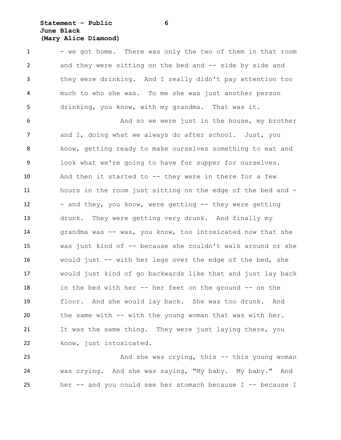# **Statement – Public 6 June Black (Mary Alice Diamond)**

1 - we got home. There was only the two of them in that room 2 and they were sitting on the bed and -- side by side and they were drinking. And I really didn't pay attention too much to who she was. To me she was just another person drinking, you know, with my grandma. That was it.

6 And so we were just in the house, my brother 7 and I, doing what we always do after school. Just, you know, getting ready to make ourselves something to eat and look what we're going to have for supper for ourselves. And then it started to -- they were in there for a few hours in the room just sitting on the edge of the bed and - 12 - and they, you know, were getting -- they were getting drunk. They were getting very drunk. And finally my 14 grandma was -- was, you know, too intoxicated now that she was just kind of -- because she couldn't walk around or she would just -- with her legs over the edge of the bed, she would just kind of go backwards like that and just lay back in the bed with her -- her feet on the ground -- on the floor. And she would lay back. She was too drunk. And the same with -- with the young woman that was with her. It was the same thing. They were just laying there, you 22 know, just intoxicated.

23 And she was crying, this -- this young woman was crying. And she was saying, "My baby. My baby." And her -- and you could see her stomach because I -- because I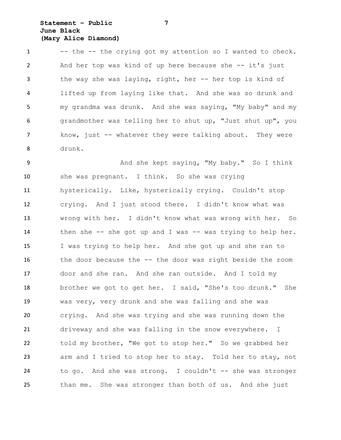# **Statement – Public 7 June Black (Mary Alice Diamond)**

1 -- the -- the crying got my attention so I wanted to check. And her top was kind of up here because she -- it's just the way she was laying, right, her -- her top is kind of lifted up from laying like that. And she was so drunk and my grandma was drunk. And she was saying, "My baby" and my grandmother was telling her to shut up, "Just shut up", you 7 know, just -- whatever they were talking about. They were drunk.

 And she kept saying, "My baby." So I think she was pregnant. I think. So she was crying hysterically. Like, hysterically crying. Couldn't stop crying. And I just stood there. I didn't know what was wrong with her. I didn't know what was wrong with her. So 14 then she -- she got up and I was -- was trying to help her. I was trying to help her. And she got up and she ran to the door because the -- the door was right beside the room door and she ran. And she ran outside. And I told my brother we got to get her. I said, "She's too drunk." She was very, very drunk and she was falling and she was crying. And she was trying and she was running down the driveway and she was falling in the snow everywhere. I told my brother, "We got to stop her." So we grabbed her arm and I tried to stop her to stay. Told her to stay, not to go. And she was strong. I couldn't -- she was stronger than me. She was stronger than both of us. And she just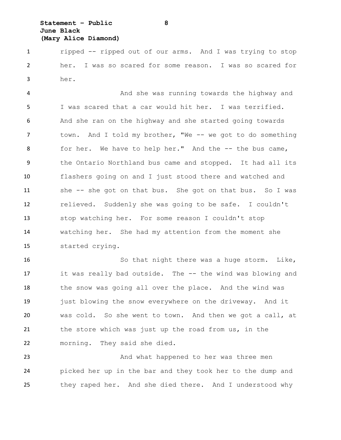# **Statement – Public 8 June Black (Mary Alice Diamond)**

 ripped -- ripped out of our arms. And I was trying to stop her. I was so scared for some reason. I was so scared for her.

4 And she was running towards the highway and I was scared that a car would hit her. I was terrified. And she ran on the highway and she started going towards 7 town. And I told my brother, "We -- we got to do something 8 for her. We have to help her." And the -- the bus came, the Ontario Northland bus came and stopped. It had all its flashers going on and I just stood there and watched and she -- she got on that bus. She got on that bus. So I was relieved. Suddenly she was going to be safe. I couldn't stop watching her. For some reason I couldn't stop watching her. She had my attention from the moment she started crying.

 So that night there was a huge storm. Like, it was really bad outside. The -- the wind was blowing and the snow was going all over the place. And the wind was just blowing the snow everywhere on the driveway. And it was cold. So she went to town. And then we got a call, at the store which was just up the road from us, in the morning. They said she died.

23 And what happened to her was three men picked her up in the bar and they took her to the dump and they raped her. And she died there. And I understood why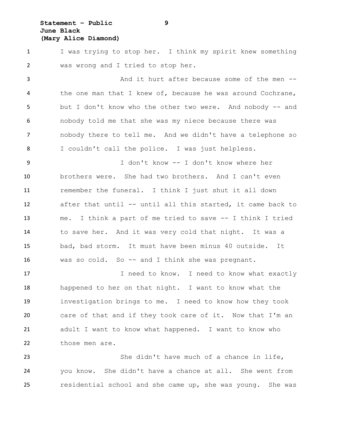## **Statement – Public 9 June Black (Mary Alice Diamond)**

 I was trying to stop her. I think my spirit knew something was wrong and I tried to stop her.

 And it hurt after because some of the men -- the one man that I knew of, because he was around Cochrane, but I don't know who the other two were. And nobody -- and nobody told me that she was my niece because there was nobody there to tell me. And we didn't have a telephone so I couldn't call the police. I was just helpless.

 I don't know -- I don't know where her brothers were. She had two brothers. And I can't even remember the funeral. I think I just shut it all down after that until -- until all this started, it came back to me. I think a part of me tried to save -- I think I tried to save her. And it was very cold that night. It was a bad, bad storm. It must have been minus 40 outside. It was so cold. So -- and I think she was pregnant.

17 17 I need to know. I need to know what exactly happened to her on that night. I want to know what the investigation brings to me. I need to know how they took care of that and if they took care of it. Now that I'm an adult I want to know what happened. I want to know who those men are.

23 She didn't have much of a chance in life, you know. She didn't have a chance at all. She went from residential school and she came up, she was young. She was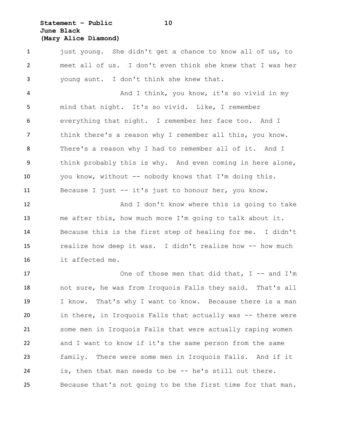# **Statement – Public 10 June Black (Mary Alice Diamond)**

1 just young. She didn't get a chance to know all of us, to meet all of us. I don't even think she knew that I was her young aunt. I don't think she knew that.

 And I think, you know, it's so vivid in my mind that night. It's so vivid. Like, I remember everything that night. I remember her face too. And I think there's a reason why I remember all this, you know. There's a reason why I had to remember all of it. And I think probably this is why. And even coming in here alone, you know, without -- nobody knows that I'm doing this. Because I just -- it's just to honour her, you know.

12 And I don't know where this is going to take me after this, how much more I'm going to talk about it. Because this is the first step of healing for me. I didn't 15 realize how deep it was. I didn't realize how -- how much it affected me.

17 One of those men that did that, I -- and I'm not sure, he was from Iroquois Falls they said. That's all I know. That's why I want to know. Because there is a man in there, in Iroquois Falls that actually was -- there were some men in Iroquois Falls that were actually raping women and I want to know if it's the same person from the same family. There were some men in Iroquois Falls. And if it is, then that man needs to be -- he's still out there. Because that's not going to be the first time for that man.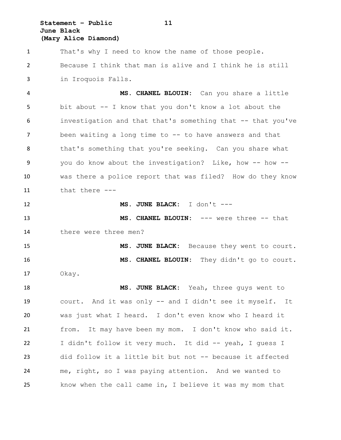**Statement – Public 11 June Black (Mary Alice Diamond)**

 That's why I need to know the name of those people. Because I think that man is alive and I think he is still in Iroquois Falls.

 **MS. CHANEL BLOUIN:** Can you share a little bit about -- I know that you don't know a lot about the investigation and that that's something that -- that you've been waiting a long time to -- to have answers and that that's something that you're seeking. Can you share what 9 you do know about the investigation? Like, how -- how -- was there a police report that was filed? How do they know that there ---

**MS. JUNE BLACK:** I don't ---

 **MS. CHANEL BLOUIN:** --- were three -- that there were three men?

15 MS. JUNE BLACK: Because they went to court. **MS. CHANEL BLOUIN:** They didn't go to court. Okay.

 **MS. JUNE BLACK:** Yeah, three guys went to court. And it was only -- and I didn't see it myself. It was just what I heard. I don't even know who I heard it from. It may have been my mom. I don't know who said it. I didn't follow it very much. It did -- yeah, I guess I did follow it a little bit but not -- because it affected me, right, so I was paying attention. And we wanted to know when the call came in, I believe it was my mom that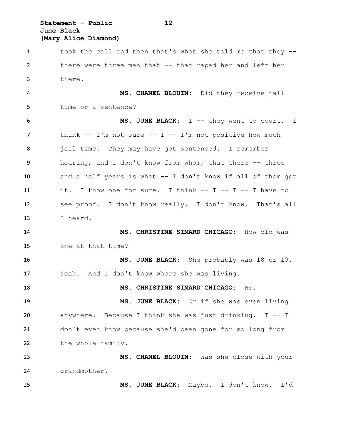**Statement – Public 12 June Black (Mary Alice Diamond)**

 took the call and then that's what she told me that they -- there were three men that -- that raped her and left her there. **MS. CHANEL BLOUIN:** Did they receive jail time or a sentence? **MS. JUNE BLACK:** I -- they went to court. I think -- I'm not sure -- I -- I'm not positive how much jail time. They may have got sentenced. I remember hearing, and I don't know from whom, that there -- three and a half years is what -- I don't know if all of them got it. I know one for sure. I think -- I -- I -- I have to see proof. I don't know really. I don't know. That's all I heard. **MS. CHRISTINE SIMARD CHICAGO:** How old was she at that time? **MS. JUNE BLACK:** She probably was 18 or 19. Yeah. And I don't know where she was living. **MS. CHRISTINE SIMARD CHICAGO:** No. **MS. JUNE BLACK:** Or if she was even living anywhere. Because I think she was just drinking. I -- I don't even know because she'd been gone for so long from 22 the whole family. **MS. CHANEL BLOUIN:** Was she close with your grandmother? **MS. JUNE BLACK:** Maybe. I don't know. I'd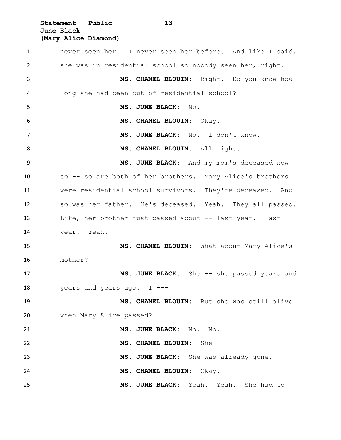**Statement – Public 13 June Black (Mary Alice Diamond)**

 never seen her. I never seen her before. And like I said, she was in residential school so nobody seen her, right. **MS. CHANEL BLOUIN:** Right. Do you know how long she had been out of residential school? **MS. JUNE BLACK:** No. **MS. CHANEL BLOUIN:** Okay. **MS. JUNE BLACK:** No. I don't know. **MS. CHANEL BLOUIN:** All right. **MS. JUNE BLACK:** And my mom's deceased now so -- so are both of her brothers. Mary Alice's brothers were residential school survivors. They're deceased. And so was her father. He's deceased. Yeah. They all passed. Like, her brother just passed about -- last year. Last year. Yeah. **MS. CHANEL BLOUIN:** What about Mary Alice's mother? **MS. JUNE BLACK:** She -- she passed years and 18 vears and years ago. I --- **MS. CHANEL BLOUIN:** But she was still alive when Mary Alice passed? **MS. JUNE BLACK:** No. No. **MS. CHANEL BLOUIN:** She --- **MS. JUNE BLACK:** She was already gone. **MS. CHANEL BLOUIN:** Okay. **MS. JUNE BLACK:** Yeah. Yeah. She had to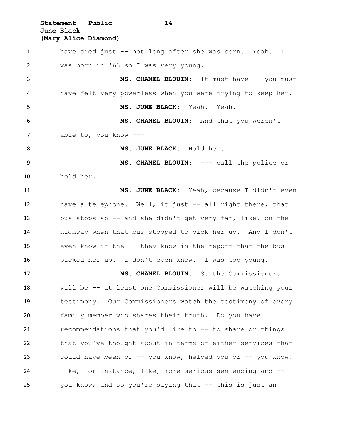**Statement – Public 14 June Black (Mary Alice Diamond)**

 have died just -- not long after she was born. Yeah. I was born in '63 so I was very young. 3 MS. CHANEL BLOUIN: It must have -- you must have felt very powerless when you were trying to keep her. **MS. JUNE BLACK:** Yeah. Yeah. **MS. CHANEL BLOUIN:** And that you weren't able to, you know --- **MS. JUNE BLACK:** Hold her. **MS. CHANEL BLOUIN:** --- call the police or hold her. **MS. JUNE BLACK:** Yeah, because I didn't even have a telephone. Well, it just -- all right there, that bus stops so -- and she didn't get very far, like, on the highway when that bus stopped to pick her up. And I don't even know if the -- they know in the report that the bus picked her up. I don't even know. I was too young. **MS. CHANEL BLOUIN:** So the Commissioners will be -- at least one Commissioner will be watching your testimony. Our Commissioners watch the testimony of every family member who shares their truth. Do you have recommendations that you'd like to -- to share or things that you've thought about in terms of either services that could have been of -- you know, helped you or -- you know, like, for instance, like, more serious sentencing and -- you know, and so you're saying that -- this is just an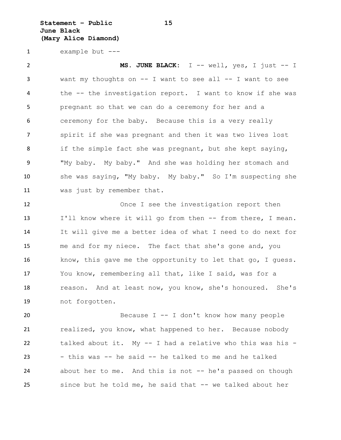**Statement – Public 15 June Black (Mary Alice Diamond)**

example but ---

 **MS. JUNE BLACK:** I -- well, yes, I just -- I want my thoughts on -- I want to see all -- I want to see the -- the investigation report. I want to know if she was pregnant so that we can do a ceremony for her and a ceremony for the baby. Because this is a very really spirit if she was pregnant and then it was two lives lost if the simple fact she was pregnant, but she kept saying, "My baby. My baby." And she was holding her stomach and she was saying, "My baby. My baby." So I'm suspecting she was just by remember that.

12 Once I see the investigation report then 13 I'll know where it will go from then -- from there, I mean. It will give me a better idea of what I need to do next for me and for my niece. The fact that she's gone and, you know, this gave me the opportunity to let that go, I guess. You know, remembering all that, like I said, was for a reason. And at least now, you know, she's honoured. She's not forgotten.

 Because I -- I don't know how many people realized, you know, what happened to her. Because nobody talked about it. My -- I had a relative who this was his - - this was -- he said -- he talked to me and he talked about her to me. And this is not -- he's passed on though since but he told me, he said that -- we talked about her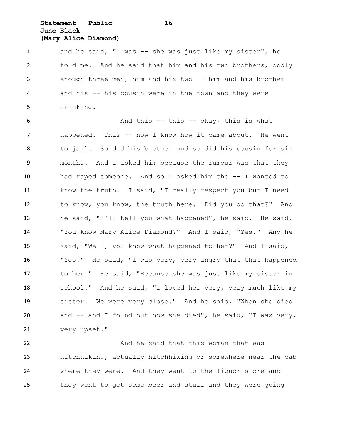# **Statement – Public 16 June Black (Mary Alice Diamond)**

1 and he said, "I was -- she was just like my sister", he told me. And he said that him and his two brothers, oddly enough three men, him and his two -- him and his brother and his -- his cousin were in the town and they were drinking.

 And this -- this -- okay, this is what happened. This -- now I know how it came about. He went to jail. So did his brother and so did his cousin for six months. And I asked him because the rumour was that they had raped someone. And so I asked him the -- I wanted to know the truth. I said, "I really respect you but I need to know, you know, the truth here. Did you do that?" And he said, "I'll tell you what happened", he said. He said, "You know Mary Alice Diamond?" And I said, "Yes." And he said, "Well, you know what happened to her?" And I said, "Yes." He said, "I was very, very angry that that happened to her." He said, "Because she was just like my sister in school." And he said, "I loved her very, very much like my sister. We were very close." And he said, "When she died and -- and I found out how she died", he said, "I was very, very upset."

**And he said that this woman that was**  hitchhiking, actually hitchhiking or somewhere near the cab where they were. And they went to the liquor store and they went to get some beer and stuff and they were going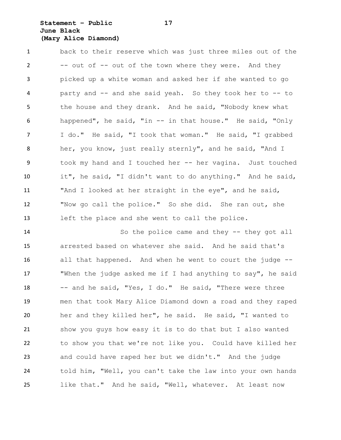# **Statement – Public 17 June Black (Mary Alice Diamond)**

 back to their reserve which was just three miles out of the 2 -- out of -- out of the town where they were. And they picked up a white woman and asked her if she wanted to go party and -- and she said yeah. So they took her to -- to 5 the house and they drank. And he said, "Nobody knew what happened", he said, "in -- in that house." He said, "Only I do." He said, "I took that woman." He said, "I grabbed her, you know, just really sternly", and he said, "And I took my hand and I touched her -- her vagina. Just touched it", he said, "I didn't want to do anything." And he said, "And I looked at her straight in the eye", and he said, "Now go call the police." So she did. She ran out, she left the place and she went to call the police.

14 So the police came and they -- they got all arrested based on whatever she said. And he said that's all that happened. And when he went to court the judge -- "When the judge asked me if I had anything to say", he said -- and he said, "Yes, I do." He said, "There were three men that took Mary Alice Diamond down a road and they raped her and they killed her", he said. He said, "I wanted to show you guys how easy it is to do that but I also wanted to show you that we're not like you. Could have killed her and could have raped her but we didn't." And the judge told him, "Well, you can't take the law into your own hands like that." And he said, "Well, whatever. At least now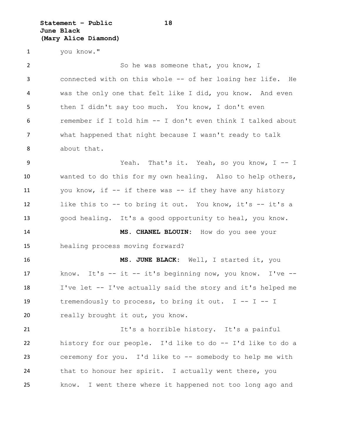**Statement – Public 18 June Black (Mary Alice Diamond)**

you know."

2 So he was someone that, you know, I connected with on this whole -- of her losing her life. He was the only one that felt like I did, you know. And even 5 then I didn't say too much. You know, I don't even remember if I told him -- I don't even think I talked about what happened that night because I wasn't ready to talk about that. Yeah. That's it. Yeah, so you know, I -- I wanted to do this for my own healing. Also to help others, you know, if -- if there was -- if they have any history

good healing. It's a good opportunity to heal, you know.

like this to -- to bring it out. You know, it's -- it's a

 **MS. CHANEL BLOUIN:** How do you see your healing process moving forward?

 **MS. JUNE BLACK:** Well, I started it, you know. It's -- it -- it's beginning now, you know. I've -- I've let -- I've actually said the story and it's helped me tremendously to process, to bring it out. I -- I -- I 20 really brought it out, you know.

 It's a horrible history. It's a painful history for our people. I'd like to do -- I'd like to do a ceremony for you. I'd like to -- somebody to help me with 24 that to honour her spirit. I actually went there, you know. I went there where it happened not too long ago and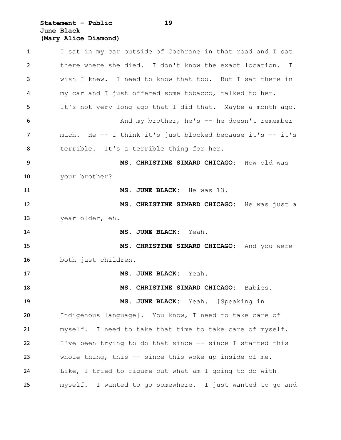## **Statement – Public 19 June Black (Mary Alice Diamond)**

 I sat in my car outside of Cochrane in that road and I sat there where she died. I don't know the exact location. I wish I knew. I need to know that too. But I sat there in my car and I just offered some tobacco, talked to her. It's not very long ago that I did that. Maybe a month ago. And my brother, he's -- he doesn't remember much. He -- I think it's just blocked because it's -- it's terrible. It's a terrible thing for her. **MS. CHRISTINE SIMARD CHICAGO:** How old was your brother? **MS. JUNE BLACK:** He was 13. **MS. CHRISTINE SIMARD CHICAGO:** He was just a year older, eh. **MS. JUNE BLACK:** Yeah. **MS. CHRISTINE SIMARD CHICAGO:** And you were both just children. **MS. JUNE BLACK:** Yeah. **MS. CHRISTINE SIMARD CHICAGO:** Babies. **MS. JUNE BLACK:** Yeah. [Speaking in Indigenous language]. You know, I need to take care of myself. I need to take that time to take care of myself. I've been trying to do that since -- since I started this whole thing, this -- since this woke up inside of me. Like, I tried to figure out what am I going to do with myself. I wanted to go somewhere. I just wanted to go and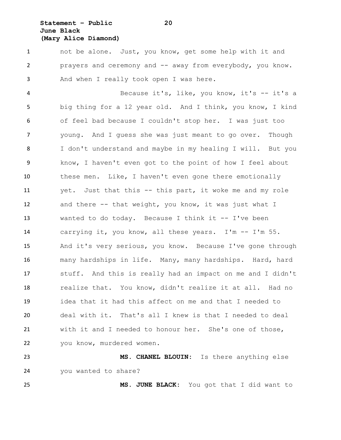# **Statement – Public 20 June Black (Mary Alice Diamond)**

 not be alone. Just, you know, get some help with it and prayers and ceremony and -- away from everybody, you know. And when I really took open I was here.

 Because it's, like, you know, it's -- it's a big thing for a 12 year old. And I think, you know, I kind of feel bad because I couldn't stop her. I was just too young. And I guess she was just meant to go over. Though I don't understand and maybe in my healing I will. But you know, I haven't even got to the point of how I feel about these men. Like, I haven't even gone there emotionally yet. Just that this -- this part, it woke me and my role and there -- that weight, you know, it was just what I wanted to do today. Because I think it -- I've been carrying it, you know, all these years. I'm -- I'm 55. And it's very serious, you know. Because I've gone through many hardships in life. Many, many hardships. Hard, hard stuff. And this is really had an impact on me and I didn't realize that. You know, didn't realize it at all. Had no idea that it had this affect on me and that I needed to deal with it. That's all I knew is that I needed to deal with it and I needed to honour her. She's one of those, you know, murdered women.

 **MS. CHANEL BLOUIN:** Is there anything else you wanted to share?

**MS. JUNE BLACK:** You got that I did want to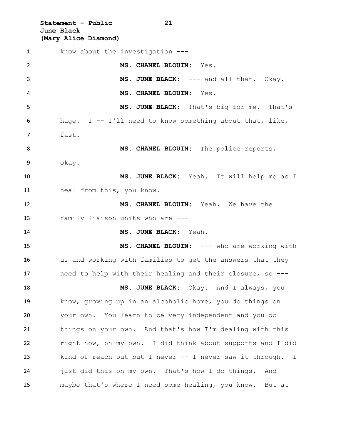**Statement – Public 21 June Black (Mary Alice Diamond)**

 know about the investigation --- **MS. CHANEL BLOUIN:** Yes. 3 MS. JUNE BLACK: --- and all that. Okay. **MS. CHANEL BLOUIN:** Yes. **MS. JUNE BLACK:** That's big for me. That's huge. I -- I'll need to know something about that, like, fast. **MS. CHANEL BLOUIN:** The police reports, okay. **MS. JUNE BLACK:** Yeah. It will help me as I heal from this, you know. **MS. CHANEL BLOUIN:** Yeah. We have the family liaison units who are --- **MS. JUNE BLACK:** Yeah. 15 MS. CHANEL BLOUIN: --- who are working with us and working with families to get the answers that they need to help with their healing and their closure, so --- **MS. JUNE BLACK:** Okay. And I always, you know, growing up in an alcoholic home, you do things on your own. You learn to be very independent and you do things on your own. And that's how I'm dealing with this right now, on my own. I did think about supports and I did kind of reach out but I never -- I never saw it through. I just did this on my own. That's how I do things. And maybe that's where I need some healing, you know. But at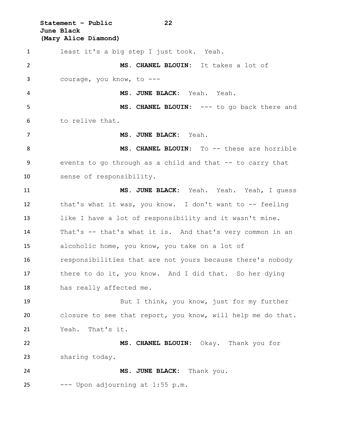**Statement – Public 22 June Black (Mary Alice Diamond)** least it's a big step I just took. Yeah. **MS. CHANEL BLOUIN:** It takes a lot of courage, you know, to --- **MS. JUNE BLACK:** Yeah. Yeah. **MS. CHANEL BLOUIN:** --- to go back there and to relive that. **MS. JUNE BLACK:** Yeah. **MS. CHANEL BLOUIN:** To -- these are horrible events to go through as a child and that -- to carry that sense of responsibility. **MS. JUNE BLACK:** Yeah. Yeah. Yeah, I guess that's what it was, you know. I don't want to -- feeling like I have a lot of responsibility and it wasn't mine. That's -- that's what it is. And that's very common in an alcoholic home, you know, you take on a lot of responsibilities that are not yours because there's nobody there to do it, you know. And I did that. So her dying has really affected me. But I think, you know, just for my further closure to see that report, you know, will help me do that. Yeah. That's it. **MS. CHANEL BLOUIN:** Okay. Thank you for sharing today. **MS. JUNE BLACK:** Thank you. --- Upon adjourning at  $1:55$  p.m.